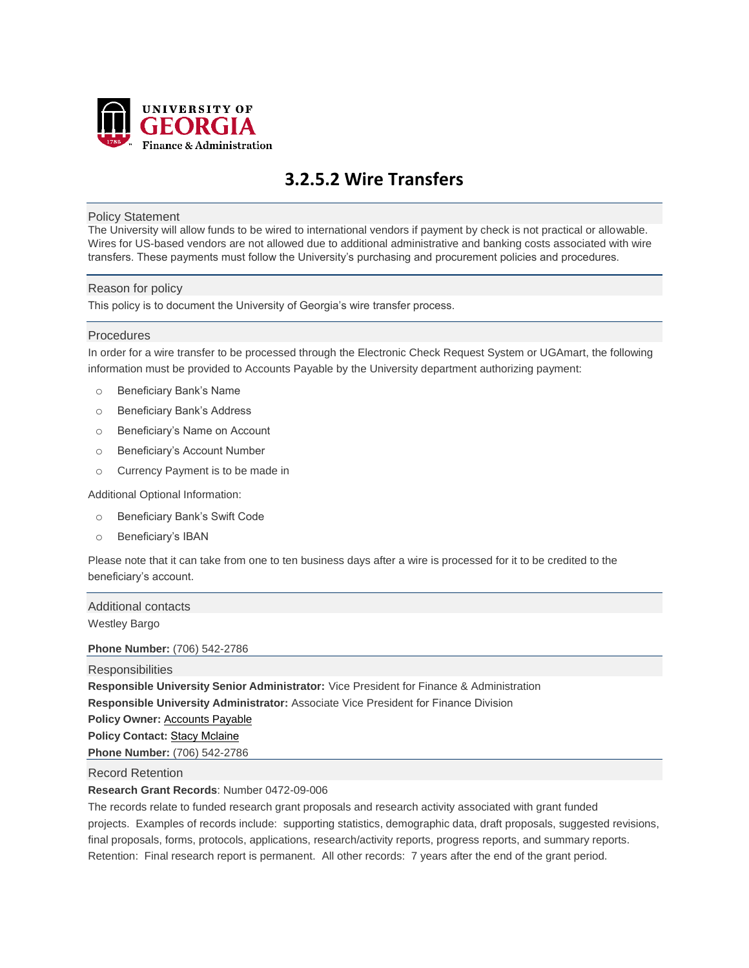

# **3.2.5.2 Wire Transfers**

### Policy Statement

The University will allow funds to be wired to international vendors if payment by check is not practical or allowable. Wires for US-based vendors are not allowed due to additional administrative and banking costs associated with wire transfers. These payments must follow the University's purchasing and procurement policies and procedures.

### Reason for policy

This policy is to document the University of Georgia's wire transfer process.

### Procedures

In order for a wire transfer to be processed through the Electronic Check Request System or UGAmart, the following information must be provided to Accounts Payable by the University department authorizing payment:

- o Beneficiary Bank's Name
- o Beneficiary Bank's Address
- o Beneficiary's Name on Account
- o Beneficiary's Account Number
- o Currency Payment is to be made in

Additional Optional Information:

- o Beneficiary Bank's Swift Code
- o Beneficiary's IBAN

Please note that it can take from one to ten business days after a wire is processed for it to be credited to the beneficiary's account.

Additional contacts Westley Bargo

**Phone Number:** (706) 542-2786

**Responsibilities** 

**Responsible University Senior Administrator:** Vice President for Finance & Administration

**Responsible University Administrator:** Associate Vice President for Finance Division

**Policy Owner:** [Accounts Payable](mailto:actpay@uga.edu)

**Policy Contact: [Stacy Mclaine](mailto:Stacy.Mclaine@uga.edu)** 

**Phone Number:** (706) 542-2786

Record Retention

## **Research Grant Records**: Number 0472-09-006

The records relate to funded research grant proposals and research activity associated with grant funded projects. Examples of records include: supporting statistics, demographic data, draft proposals, suggested revisions, final proposals, forms, protocols, applications, research/activity reports, progress reports, and summary reports. Retention: Final research report is permanent. All other records: 7 years after the end of the grant period.